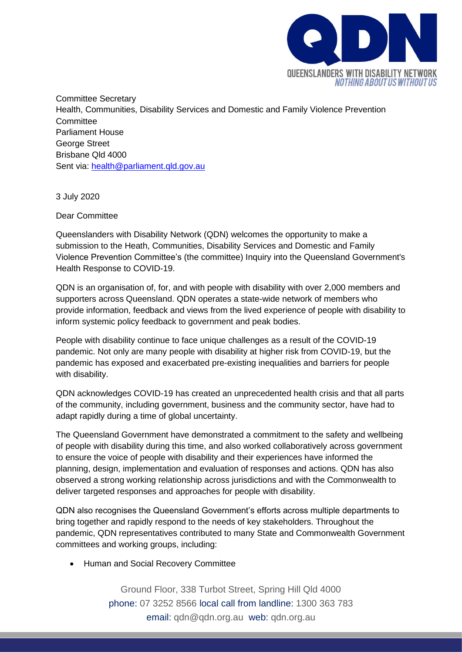

Committee Secretary Health, Communities, Disability Services and Domestic and Family Violence Prevention **Committee** Parliament House George Street Brisbane Qld 4000 Sent via: [health@parliament.qld.gov.au](mailto:health@parliament.qld.gov.au)

3 July 2020

Dear Committee

Queenslanders with Disability Network (QDN) welcomes the opportunity to make a submission to the Heath, Communities, Disability Services and Domestic and Family Violence Prevention Committee's (the committee) Inquiry into the Queensland Government's Health Response to COVID-19.

QDN is an organisation of, for, and with people with disability with over 2,000 members and supporters across Queensland. QDN operates a state-wide network of members who provide information, feedback and views from the lived experience of people with disability to inform systemic policy feedback to government and peak bodies.

People with disability continue to face unique challenges as a result of the COVID-19 pandemic. Not only are many people with disability at higher risk from COVID-19, but the pandemic has exposed and exacerbated pre-existing inequalities and barriers for people with disability.

QDN acknowledges COVID-19 has created an unprecedented health crisis and that all parts of the community, including government, business and the community sector, have had to adapt rapidly during a time of global uncertainty.

The Queensland Government have demonstrated a commitment to the safety and wellbeing of people with disability during this time, and also worked collaboratively across government to ensure the voice of people with disability and their experiences have informed the planning, design, implementation and evaluation of responses and actions. QDN has also observed a strong working relationship across jurisdictions and with the Commonwealth to deliver targeted responses and approaches for people with disability.

QDN also recognises the Queensland Government's efforts across multiple departments to bring together and rapidly respond to the needs of key stakeholders. Throughout the pandemic, QDN representatives contributed to many State and Commonwealth Government committees and working groups, including:

• Human and Social Recovery Committee

Ground Floor, 338 Turbot Street, Spring Hill Qld 4000 phone: 07 3252 8566 local call from landline: 1300 363 783 email: qdn@qdn.org.au web: qdn.org.au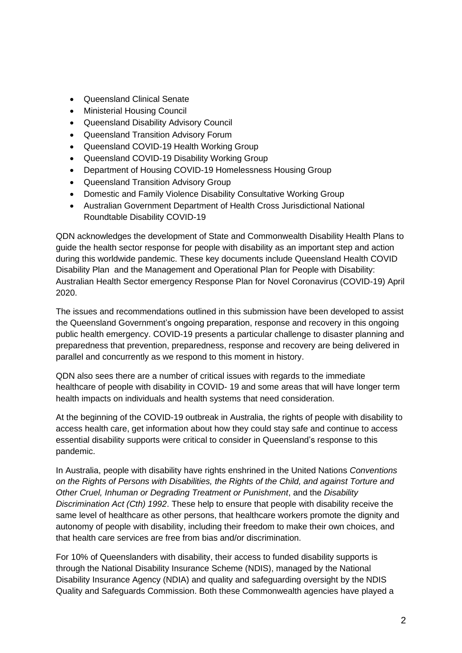- Queensland Clinical Senate
- Ministerial Housing Council
- Queensland Disability Advisory Council
- Queensland Transition Advisory Forum
- Queensland COVID-19 Health Working Group
- Queensland COVID-19 Disability Working Group
- Department of Housing COVID-19 Homelessness Housing Group
- Queensland Transition Advisory Group
- Domestic and Family Violence Disability Consultative Working Group
- Australian Government Department of Health Cross Jurisdictional National Roundtable Disability COVID-19

QDN acknowledges the development of State and Commonwealth Disability Health Plans to guide the health sector response for people with disability as an important step and action during this worldwide pandemic. These key documents include Queensland Health COVID Disability Plan and the Management and Operational Plan for People with Disability: Australian Health Sector emergency Response Plan for Novel Coronavirus (COVID-19) April 2020.

The issues and recommendations outlined in this submission have been developed to assist the Queensland Government's ongoing preparation, response and recovery in this ongoing public health emergency. COVID-19 presents a particular challenge to disaster planning and preparedness that prevention, preparedness, response and recovery are being delivered in parallel and concurrently as we respond to this moment in history.

QDN also sees there are a number of critical issues with regards to the immediate healthcare of people with disability in COVID- 19 and some areas that will have longer term health impacts on individuals and health systems that need consideration.

At the beginning of the COVID-19 outbreak in Australia, the rights of people with disability to access health care, get information about how they could stay safe and continue to access essential disability supports were critical to consider in Queensland's response to this pandemic.

In Australia, people with disability have rights enshrined in the United Nations *Conventions on the Rights of Persons with Disabilities, the Rights of the Child, and against Torture and Other Cruel, Inhuman or Degrading Treatment or Punishment*, and the *Disability Discrimination Act (Cth) 1992*. These help to ensure that people with disability receive the same level of healthcare as other persons, that healthcare workers promote the dignity and autonomy of people with disability, including their freedom to make their own choices, and that health care services are free from bias and/or discrimination.

For 10% of Queenslanders with disability, their access to funded disability supports is through the National Disability Insurance Scheme (NDIS), managed by the National Disability Insurance Agency (NDIA) and quality and safeguarding oversight by the NDIS Quality and Safeguards Commission. Both these Commonwealth agencies have played a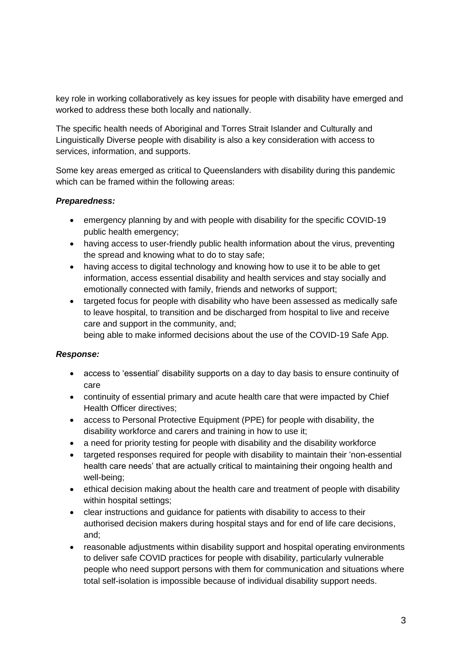key role in working collaboratively as key issues for people with disability have emerged and worked to address these both locally and nationally.

The specific health needs of Aboriginal and Torres Strait Islander and Culturally and Linguistically Diverse people with disability is also a key consideration with access to services, information, and supports.

Some key areas emerged as critical to Queenslanders with disability during this pandemic which can be framed within the following areas:

## *Preparedness:*

- emergency planning by and with people with disability for the specific COVID-19 public health emergency;
- having access to user-friendly public health information about the virus, preventing the spread and knowing what to do to stay safe;
- having access to digital technology and knowing how to use it to be able to get information, access essential disability and health services and stay socially and emotionally connected with family, friends and networks of support;
- targeted focus for people with disability who have been assessed as medically safe to leave hospital, to transition and be discharged from hospital to live and receive care and support in the community, and; being able to make informed decisions about the use of the COVID-19 Safe App.

## *Response:*

- access to 'essential' disability supports on a day to day basis to ensure continuity of care
- continuity of essential primary and acute health care that were impacted by Chief Health Officer directives;
- access to Personal Protective Equipment (PPE) for people with disability, the disability workforce and carers and training in how to use it;
- a need for priority testing for people with disability and the disability workforce
- targeted responses required for people with disability to maintain their 'non-essential health care needs' that are actually critical to maintaining their ongoing health and well-being;
- ethical decision making about the health care and treatment of people with disability within hospital settings;
- clear instructions and guidance for patients with disability to access to their authorised decision makers during hospital stays and for end of life care decisions, and;
- reasonable adjustments within disability support and hospital operating environments to deliver safe COVID practices for people with disability, particularly vulnerable people who need support persons with them for communication and situations where total self-isolation is impossible because of individual disability support needs.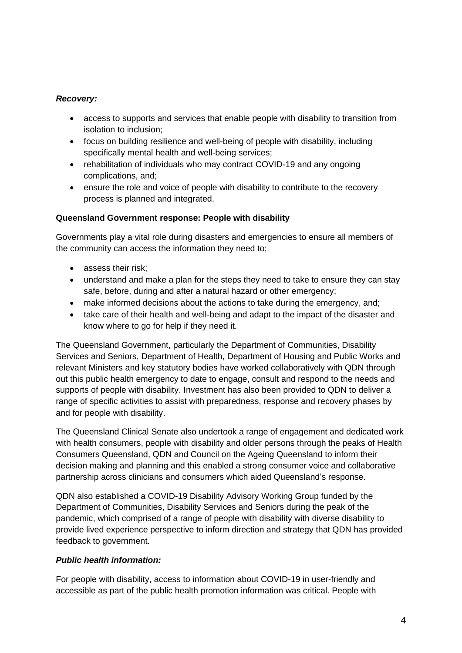## *Recovery:*

- access to supports and services that enable people with disability to transition from isolation to inclusion;
- focus on building resilience and well-being of people with disability, including specifically mental health and well-being services;
- rehabilitation of individuals who may contract COVID-19 and any ongoing complications, and;
- ensure the role and voice of people with disability to contribute to the recovery process is planned and integrated.

## **Queensland Government response: People with disability**

Governments play a vital role during disasters and emergencies to ensure all members of the community can access the information they need to;

- assess their risk:
- understand and make a plan for the steps they need to take to ensure they can stay safe, before, during and after a natural hazard or other emergency;
- make informed decisions about the actions to take during the emergency, and;
- take care of their health and well-being and adapt to the impact of the disaster and know where to go for help if they need it.

The Queensland Government, particularly the Department of Communities, Disability Services and Seniors, Department of Health, Department of Housing and Public Works and relevant Ministers and key statutory bodies have worked collaboratively with QDN through out this public health emergency to date to engage, consult and respond to the needs and supports of people with disability. Investment has also been provided to QDN to deliver a range of specific activities to assist with preparedness, response and recovery phases by and for people with disability.

The Queensland Clinical Senate also undertook a range of engagement and dedicated work with health consumers, people with disability and older persons through the peaks of Health Consumers Queensland, QDN and Council on the Ageing Queensland to inform their decision making and planning and this enabled a strong consumer voice and collaborative partnership across clinicians and consumers which aided Queensland's response.

QDN also established a COVID-19 Disability Advisory Working Group funded by the Department of Communities, Disability Services and Seniors during the peak of the pandemic, which comprised of a range of people with disability with diverse disability to provide lived experience perspective to inform direction and strategy that QDN has provided feedback to government.

# *Public health information:*

For people with disability, access to information about COVID-19 in user-friendly and accessible as part of the public health promotion information was critical. People with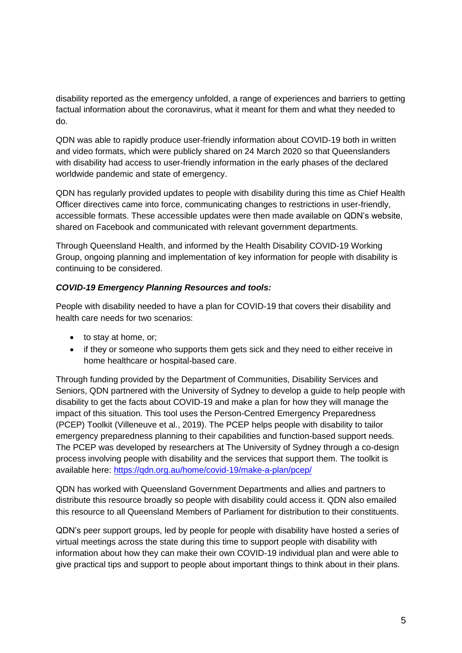disability reported as the emergency unfolded, a range of experiences and barriers to getting factual information about the coronavirus, what it meant for them and what they needed to do.

QDN was able to rapidly produce user-friendly information about COVID-19 both in written and video formats, which were publicly shared on 24 March 2020 so that Queenslanders with disability had access to user-friendly information in the early phases of the declared worldwide pandemic and state of emergency.

QDN has regularly provided updates to people with disability during this time as Chief Health Officer directives came into force, communicating changes to restrictions in user-friendly, accessible formats. These accessible updates were then made available on QDN's website, shared on Facebook and communicated with relevant government departments.

Through Queensland Health, and informed by the Health Disability COVID-19 Working Group, ongoing planning and implementation of key information for people with disability is continuing to be considered.

## *COVID-19 Emergency Planning Resources and tools:*

People with disability needed to have a plan for COVID-19 that covers their disability and health care needs for two scenarios:

- to stay at home, or:
- if they or someone who supports them gets sick and they need to either receive in home healthcare or hospital-based care.

Through funding provided by the Department of Communities, Disability Services and Seniors, QDN partnered with the University of Sydney to develop a guide to help people with disability to get the facts about COVID-19 and make a plan for how they will manage the impact of this situation. This tool uses the Person-Centred Emergency Preparedness (PCEP) Toolkit (Villeneuve et al., 2019). The PCEP helps people with disability to tailor emergency preparedness planning to their capabilities and function-based support needs. The PCEP was developed by researchers at The University of Sydney through a co-design process involving people with disability and the services that support them. The toolkit is available here:<https://qdn.org.au/home/covid-19/make-a-plan/pcep/>

QDN has worked with Queensland Government Departments and allies and partners to distribute this resource broadly so people with disability could access it. QDN also emailed this resource to all Queensland Members of Parliament for distribution to their constituents.

QDN's peer support groups, led by people for people with disability have hosted a series of virtual meetings across the state during this time to support people with disability with information about how they can make their own COVID-19 individual plan and were able to give practical tips and support to people about important things to think about in their plans.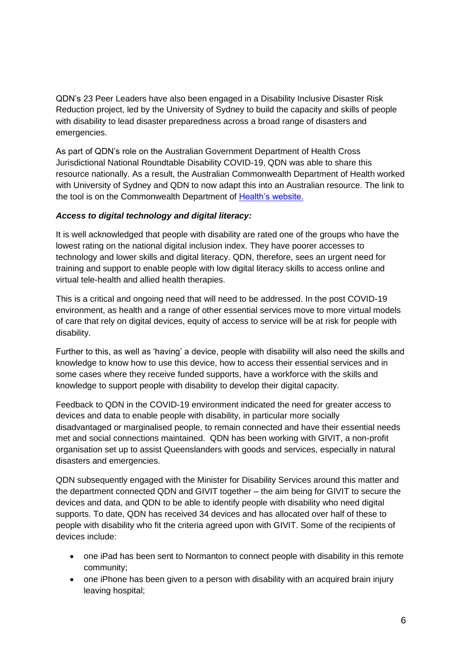QDN's 23 Peer Leaders have also been engaged in a Disability Inclusive Disaster Risk Reduction project, led by the University of Sydney to build the capacity and skills of people with disability to lead disaster preparedness across a broad range of disasters and emergencies.

As part of QDN's role on the Australian Government Department of Health Cross Jurisdictional National Roundtable Disability COVID-19, QDN was able to share this resource nationally. As a result, the Australian Commonwealth Department of Health worked with University of Sydney and QDN to now adapt this into an Australian resource. The link to the tool is on the Commonwealth Department of [Health's website.](https://www.health.gov.au/news/health-alerts/novel-coronavirus-2019-ncov-health-alert/advice-for-people-at-risk-of-coronavirus-covid-19/coronavirus-covid-19-advice-for-people-with-disability)

### *Access to digital technology and digital literacy:*

It is well acknowledged that people with disability are rated one of the groups who have the lowest rating on the national digital inclusion index. They have poorer accesses to technology and lower skills and digital literacy. QDN, therefore, sees an urgent need for training and support to enable people with low digital literacy skills to access online and virtual tele-health and allied health therapies.

This is a critical and ongoing need that will need to be addressed. In the post COVID-19 environment, as health and a range of other essential services move to more virtual models of care that rely on digital devices, equity of access to service will be at risk for people with disability.

Further to this, as well as 'having' a device, people with disability will also need the skills and knowledge to know how to use this device, how to access their essential services and in some cases where they receive funded supports, have a workforce with the skills and knowledge to support people with disability to develop their digital capacity.

Feedback to QDN in the COVID-19 environment indicated the need for greater access to devices and data to enable people with disability, in particular more socially disadvantaged or marginalised people, to remain connected and have their essential needs met and social connections maintained. QDN has been working with GIVIT, a non-profit organisation set up to assist Queenslanders with goods and services, especially in natural disasters and emergencies.

QDN subsequently engaged with the Minister for Disability Services around this matter and the department connected QDN and GIVIT together – the aim being for GIVIT to secure the devices and data, and QDN to be able to identify people with disability who need digital supports. To date, QDN has received 34 devices and has allocated over half of these to people with disability who fit the criteria agreed upon with GIVIT. Some of the recipients of devices include:

- one iPad has been sent to Normanton to connect people with disability in this remote community;
- one iPhone has been given to a person with disability with an acquired brain injury leaving hospital;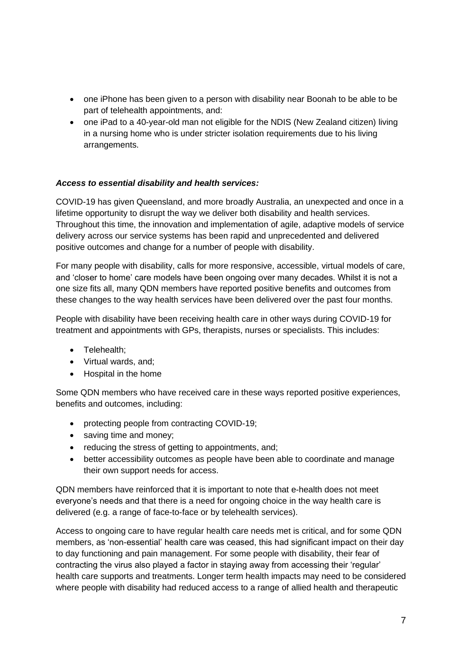- one iPhone has been given to a person with disability near Boonah to be able to be part of telehealth appointments, and:
- one iPad to a 40-year-old man not eligible for the NDIS (New Zealand citizen) living in a nursing home who is under stricter isolation requirements due to his living arrangements.

## *Access to essential disability and health services:*

COVID-19 has given Queensland, and more broadly Australia, an unexpected and once in a lifetime opportunity to disrupt the way we deliver both disability and health services. Throughout this time, the innovation and implementation of agile, adaptive models of service delivery across our service systems has been rapid and unprecedented and delivered positive outcomes and change for a number of people with disability.

For many people with disability, calls for more responsive, accessible, virtual models of care, and 'closer to home' care models have been ongoing over many decades. Whilst it is not a one size fits all, many QDN members have reported positive benefits and outcomes from these changes to the way health services have been delivered over the past four months.

People with disability have been receiving health care in other ways during COVID-19 for treatment and appointments with GPs, therapists, nurses or specialists. This includes:

- Telehealth;
- Virtual wards, and;
- Hospital in the home

Some QDN members who have received care in these ways reported positive experiences, benefits and outcomes, including:

- protecting people from contracting COVID-19;
- saving time and money;
- reducing the stress of getting to appointments, and:
- better accessibility outcomes as people have been able to coordinate and manage their own support needs for access.

QDN members have reinforced that it is important to note that e-health does not meet everyone's needs and that there is a need for ongoing choice in the way health care is delivered (e.g. a range of face-to-face or by telehealth services).

Access to ongoing care to have regular health care needs met is critical, and for some QDN members, as 'non-essential' health care was ceased, this had significant impact on their day to day functioning and pain management. For some people with disability, their fear of contracting the virus also played a factor in staying away from accessing their 'regular' health care supports and treatments. Longer term health impacts may need to be considered where people with disability had reduced access to a range of allied health and therapeutic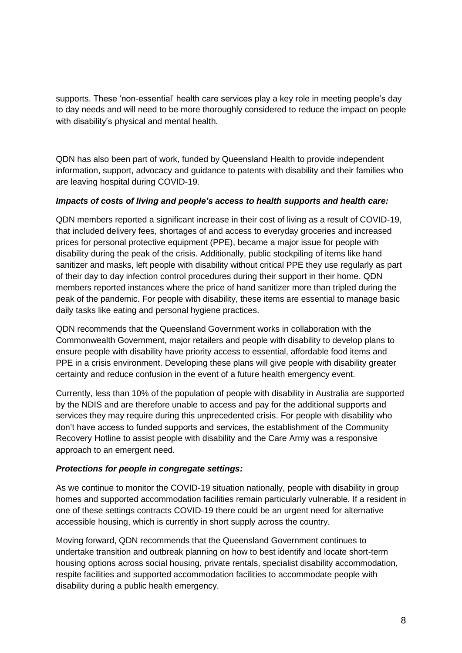supports. These 'non-essential' health care services play a key role in meeting people's day to day needs and will need to be more thoroughly considered to reduce the impact on people with disability's physical and mental health.

QDN has also been part of work, funded by Queensland Health to provide independent information, support, advocacy and guidance to patents with disability and their families who are leaving hospital during COVID-19.

### *Impacts of costs of living and people's access to health supports and health care:*

QDN members reported a significant increase in their cost of living as a result of COVID-19, that included delivery fees, shortages of and access to everyday groceries and increased prices for personal protective equipment (PPE), became a major issue for people with disability during the peak of the crisis. Additionally, public stockpiling of items like hand sanitizer and masks, left people with disability without critical PPE they use regularly as part of their day to day infection control procedures during their support in their home. QDN members reported instances where the price of hand sanitizer more than tripled during the peak of the pandemic. For people with disability, these items are essential to manage basic daily tasks like eating and personal hygiene practices.

QDN recommends that the Queensland Government works in collaboration with the Commonwealth Government, major retailers and people with disability to develop plans to ensure people with disability have priority access to essential, affordable food items and PPE in a crisis environment. Developing these plans will give people with disability greater certainty and reduce confusion in the event of a future health emergency event.

Currently, less than 10% of the population of people with disability in Australia are supported by the NDIS and are therefore unable to access and pay for the additional supports and services they may require during this unprecedented crisis. For people with disability who don't have access to funded supports and services, the establishment of the Community Recovery Hotline to assist people with disability and the Care Army was a responsive approach to an emergent need.

## *Protections for people in congregate settings:*

As we continue to monitor the COVID-19 situation nationally, people with disability in group homes and supported accommodation facilities remain particularly vulnerable. If a resident in one of these settings contracts COVID-19 there could be an urgent need for alternative accessible housing, which is currently in short supply across the country.

Moving forward, QDN recommends that the Queensland Government continues to undertake transition and outbreak planning on how to best identify and locate short-term housing options across social housing, private rentals, specialist disability accommodation, respite facilities and supported accommodation facilities to accommodate people with disability during a public health emergency.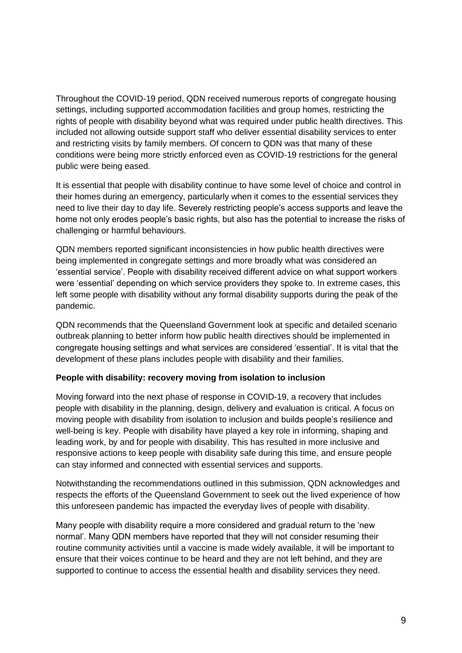Throughout the COVID-19 period, QDN received numerous reports of congregate housing settings, including supported accommodation facilities and group homes, restricting the rights of people with disability beyond what was required under public health directives. This included not allowing outside support staff who deliver essential disability services to enter and restricting visits by family members. Of concern to QDN was that many of these conditions were being more strictly enforced even as COVID-19 restrictions for the general public were being eased.

It is essential that people with disability continue to have some level of choice and control in their homes during an emergency, particularly when it comes to the essential services they need to live their day to day life. Severely restricting people's access supports and leave the home not only erodes people's basic rights, but also has the potential to increase the risks of challenging or harmful behaviours.

QDN members reported significant inconsistencies in how public health directives were being implemented in congregate settings and more broadly what was considered an 'essential service'. People with disability received different advice on what support workers were 'essential' depending on which service providers they spoke to. In extreme cases, this left some people with disability without any formal disability supports during the peak of the pandemic.

QDN recommends that the Queensland Government look at specific and detailed scenario outbreak planning to better inform how public health directives should be implemented in congregate housing settings and what services are considered 'essential'. It is vital that the development of these plans includes people with disability and their families.

#### **People with disability: recovery moving from isolation to inclusion**

Moving forward into the next phase of response in COVID-19, a recovery that includes people with disability in the planning, design, delivery and evaluation is critical. A focus on moving people with disability from isolation to inclusion and builds people's resilience and well-being is key. People with disability have played a key role in informing, shaping and leading work, by and for people with disability. This has resulted in more inclusive and responsive actions to keep people with disability safe during this time, and ensure people can stay informed and connected with essential services and supports.

Notwithstanding the recommendations outlined in this submission, QDN acknowledges and respects the efforts of the Queensland Government to seek out the lived experience of how this unforeseen pandemic has impacted the everyday lives of people with disability.

Many people with disability require a more considered and gradual return to the 'new normal'. Many QDN members have reported that they will not consider resuming their routine community activities until a vaccine is made widely available, it will be important to ensure that their voices continue to be heard and they are not left behind, and they are supported to continue to access the essential health and disability services they need.